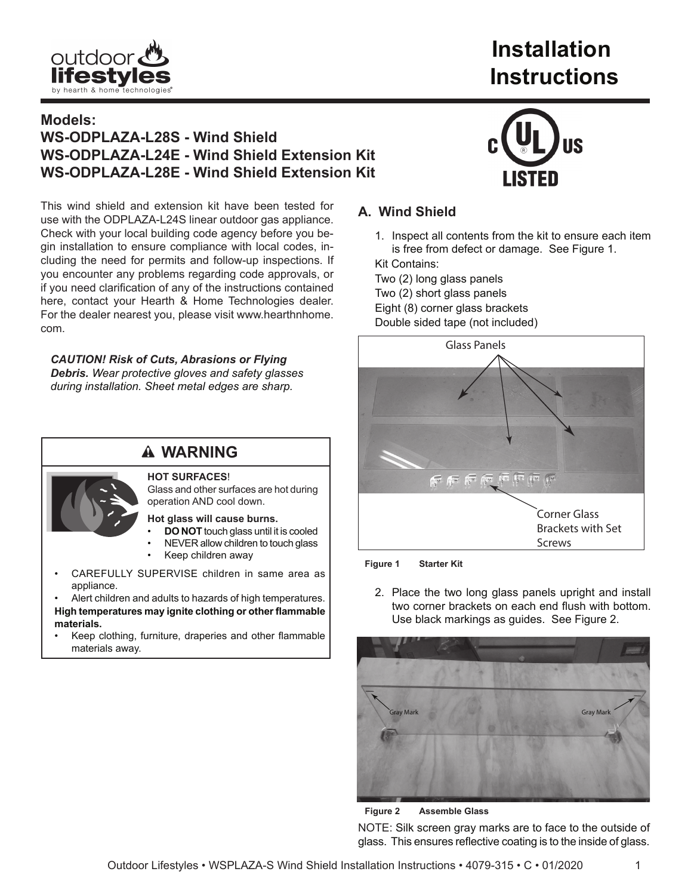

# **Installation Instructions**

# **Models: WS-ODPLAZA-L28S - Wind Shield WS-ODPLAZA-L24E - Wind Shield Extension Kit WS-ODPLAZA-L28E - Wind Shield Extension Kit**

This wind shield and extension kit have been tested for use with the ODPLAZA-L24S linear outdoor gas appliance. Check with your local building code agency before you begin installation to ensure compliance with local codes, including the need for permits and follow-up inspections. If you encounter any problems regarding code approvals, or if you need clarification of any of the instructions contained here, contact your Hearth & Home Technologies dealer. For the dealer nearest you, please visit www.hearthnhome. com.

*CAUTION! Risk of Cuts, Abrasions or Flying Debris. Wear protective gloves and safety glasses during installation. Sheet metal edges are sharp.*

# **WARNING HOT SURFACES**!

Glass and other surfaces are hot during operation AND cool down.

**Hot glass will cause burns.**

- **DO NOT** touch glass until it is cooled
- NEVER allow children to touch glass
- Keep children away
- CAREFULLY SUPERVISE children in same area as appliance.

Alert children and adults to hazards of high temperatures.

- **High temperatures may ignite clothing or other flammable materials.**
- Keep clothing, furniture, draperies and other flammable materials away.



## **A. Wind Shield**

1. Inspect all contents from the kit to ensure each item is free from defect or damage. See Figure 1.

Kit Contains:

Two (2) long glass panels Two (2) short glass panels Eight (8) corner glass brackets Double sided tape (not included)



**Figure 1 Starter Kit** 

2. Place the two long glass panels upright and install two corner brackets on each end flush with bottom. Use black markings as guides. See Figure 2.



**Figure 2 Assemble Glass**

NOTE: Silk screen gray marks are to face to the outside of glass. This ensures reflective coating is to the inside of glass.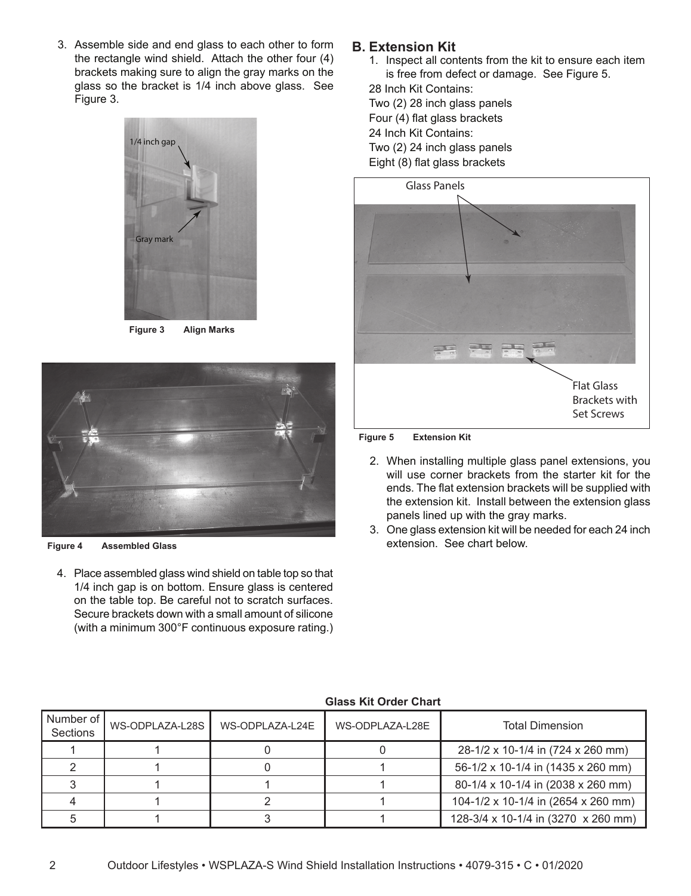3. Assemble side and end glass to each other to form the rectangle wind shield. Attach the other four (4) brackets making sure to align the gray marks on the glass so the bracket is 1/4 inch above glass. See Figure 3.



**Figure 3 Align Marks**



**Figure 4 Assembled Glass**

4. Place assembled glass wind shield on table top so that 1/4 inch gap is on bottom. Ensure glass is centered on the table top. Be careful not to scratch surfaces. Secure brackets down with a small amount of silicone (with a minimum 300°F continuous exposure rating.)

### **B. Extension Kit**

1. Inspect all contents from the kit to ensure each item is free from defect or damage. See Figure 5.

28 Inch Kit Contains: Two (2) 28 inch glass panels Four (4) flat glass brackets 24 Inch Kit Contains: Two (2) 24 inch glass panels Eight (8) flat glass brackets



#### **Figure 5 Extension Kit**

- 2. When installing multiple glass panel extensions, you will use corner brackets from the starter kit for the ends. The flat extension brackets will be supplied with the extension kit. Install between the extension glass panels lined up with the gray marks.
- 3. One glass extension kit will be needed for each 24 inch extension. See chart below.

| Number of<br>Sections | WS-ODPLAZA-L28S | WS-ODPLAZA-L24E | WS-ODPLAZA-L28E | <b>Total Dimension</b>              |
|-----------------------|-----------------|-----------------|-----------------|-------------------------------------|
|                       |                 |                 |                 | 28-1/2 x 10-1/4 in (724 x 260 mm)   |
|                       |                 |                 |                 | 56-1/2 x 10-1/4 in (1435 x 260 mm)  |
|                       |                 |                 |                 | 80-1/4 x 10-1/4 in (2038 x 260 mm)  |
|                       |                 |                 |                 | 104-1/2 x 10-1/4 in (2654 x 260 mm) |
|                       |                 |                 |                 | 128-3/4 x 10-1/4 in (3270 x 260 mm) |

#### **Glass Kit Order Chart**